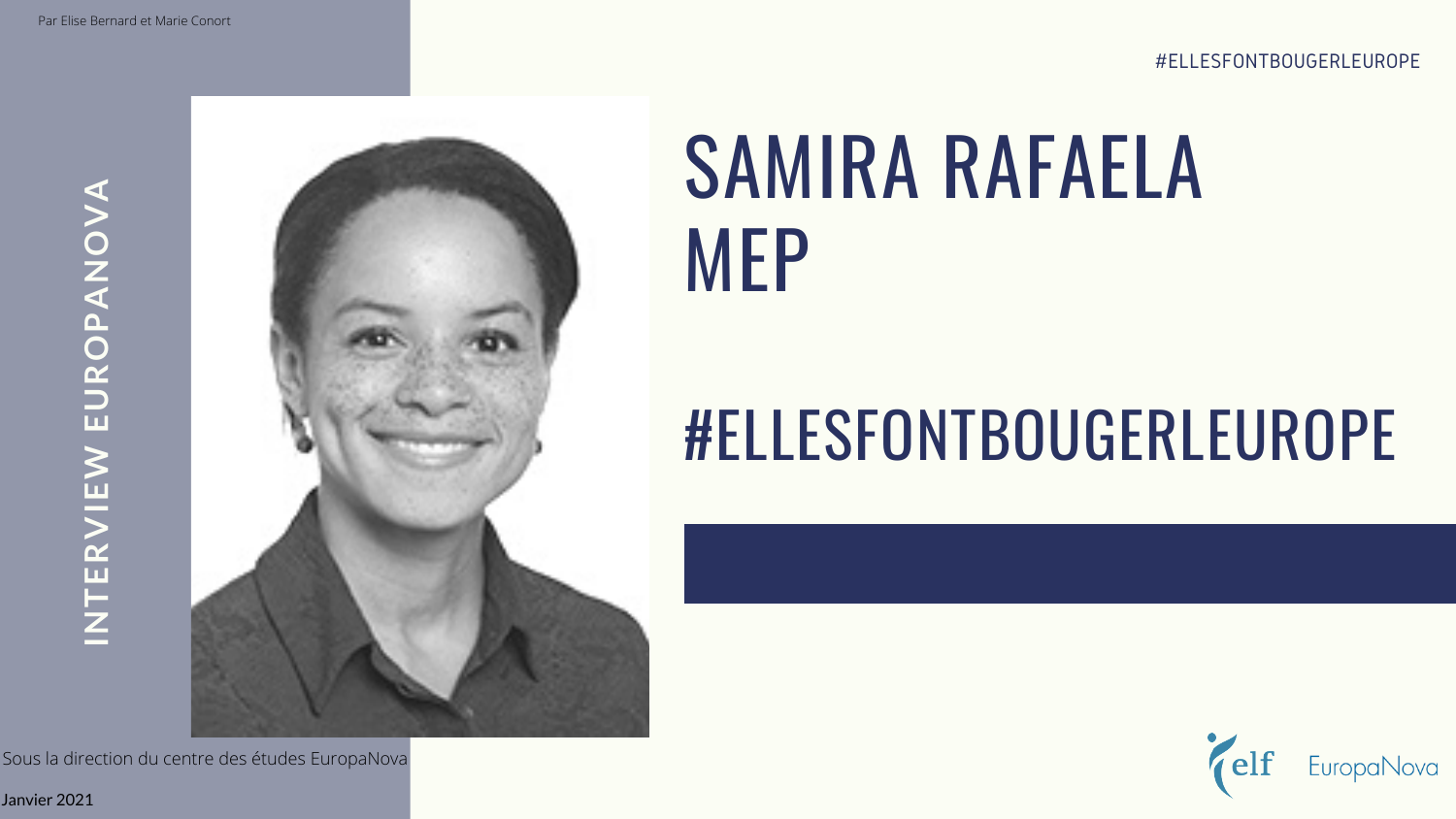# SAMIRA RAFAELA MEP

## #ELLESFONTBOUGERLEUROPE

**IN TERVIE N EUROPANO** $\geq$ **A**



Janvier 2021

Sous la direction du centre des études EuropaNova

#ELLESFONTBOUGERLEUROPE

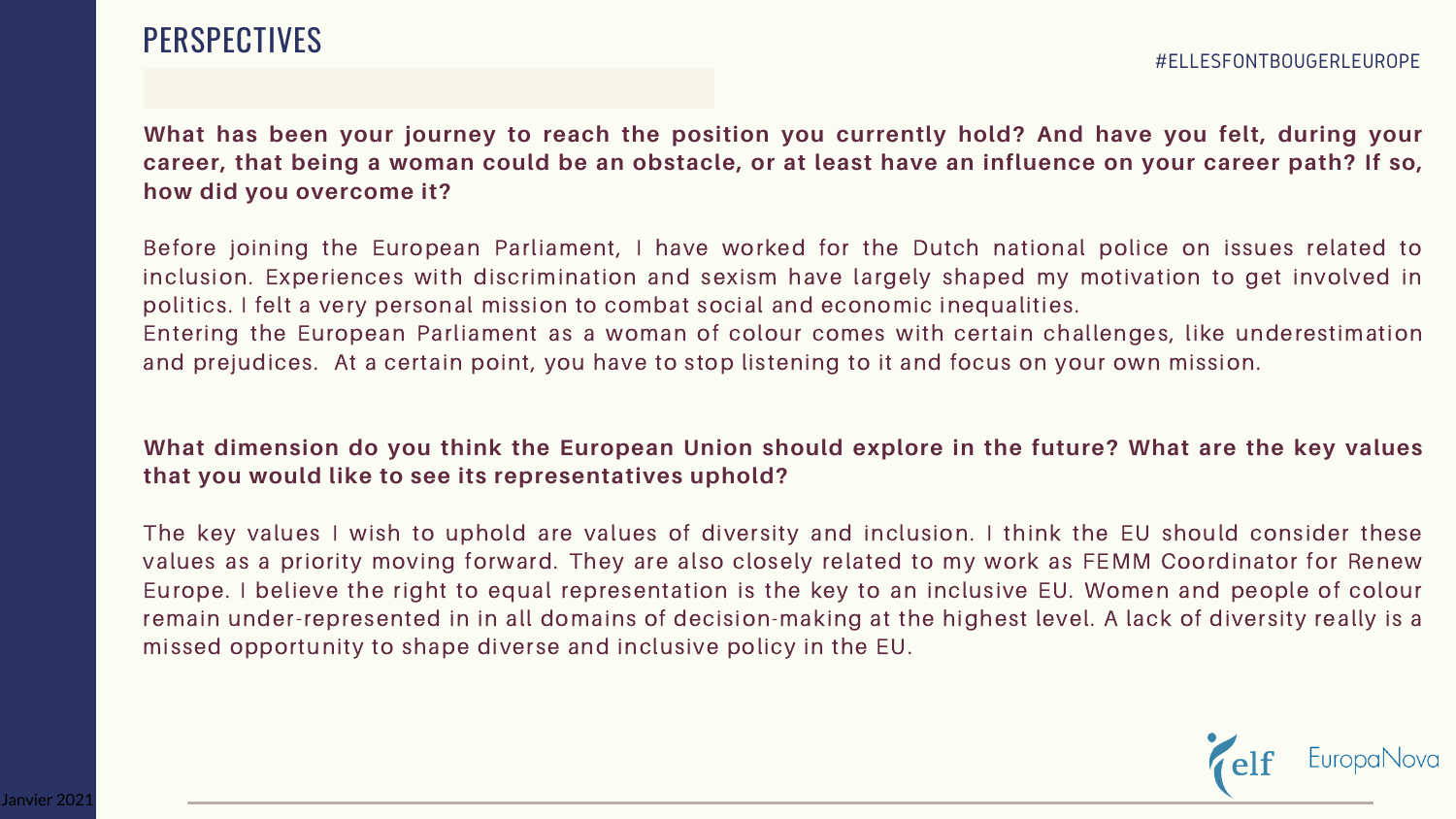## PERSPECTIVES

What has been your journey to reach the position you currently hold? And have you felt, during your career, that being a woman could be an obstacle, or at least have an influence on your career path? If so, **how did you overcome it?**

## What dimension do you think the European Union should explore in the future? What are the key values **that you would like to see its representatives uphold?**

Before joining the European Parliament, I have worked for the Dutch national police on issues related to inclusion. Experiences with discrimination and sexism have largely shaped my motivation to get involved in politics. I felt a very personal mission to combat social and economic inequalities. Entering the European Parliament as a woman of colour comes with certain challenges, like underestimation and prejudices. At a certain point, you have to stop listening to it and focus on your own mission.

The key values I wish to uphold are values of diversity and inclusion. I think the EU should consider these values as a priority moving forward. They are also closely related to my work as FEMM Coordinator for Renew Europe. I believe the right to equal representation is the key to an inclusive EU. Women and people of colour remain under-represented in in all domains of decision-making at the highest level. A lack of diversity really is a missed opportunity to shape diverse and inclusive policy in the EU.

EuropaNovc